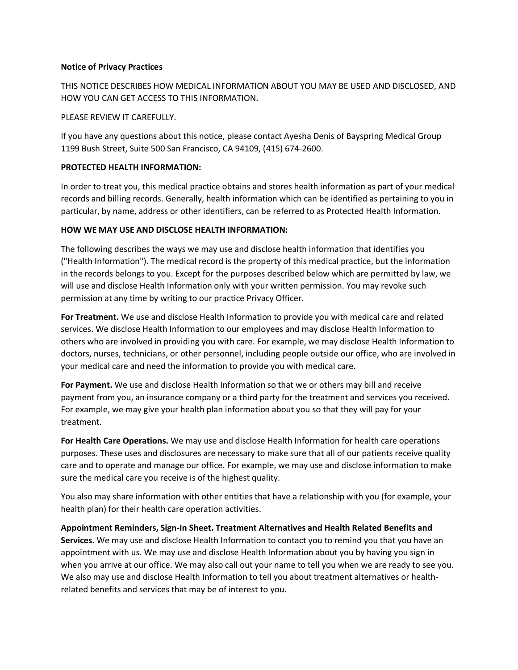#### **Notice of Privacy Practices**

THIS NOTICE DESCRIBES HOW MEDICAL INFORMATION ABOUT YOU MAY BE USED AND DISCLOSED, AND HOW YOU CAN GET ACCESS TO THIS INFORMATION.

## PLEASE REVIEW IT CAREFULLY.

If you have any questions about this notice, please contact Ayesha Denis of Bayspring Medical Group 1199 Bush Street, Suite 500 San Francisco, CA 94109, (415) 674-2600.

## **PROTECTED HEALTH INFORMATION:**

In order to treat you, this medical practice obtains and stores health information as part of your medical records and billing records. Generally, health information which can be identified as pertaining to you in particular, by name, address or other identifiers, can be referred to as Protected Health Information.

## **HOW WE MAY USE AND DISCLOSE HEALTH INFORMATION:**

The following describes the ways we may use and disclose health information that identifies you ("Health Information"). The medical record is the property of this medical practice, but the information in the records belongs to you. Except for the purposes described below which are permitted by law, we will use and disclose Health Information only with your written permission. You may revoke such permission at any time by writing to our practice Privacy Officer.

**For Treatment.** We use and disclose Health Information to provide you with medical care and related services. We disclose Health Information to our employees and may disclose Health Information to others who are involved in providing you with care. For example, we may disclose Health Information to doctors, nurses, technicians, or other personnel, including people outside our office, who are involved in your medical care and need the information to provide you with medical care.

**For Payment.** We use and disclose Health Information so that we or others may bill and receive payment from you, an insurance company or a third party for the treatment and services you received. For example, we may give your health plan information about you so that they will pay for your treatment.

**For Health Care Operations.** We may use and disclose Health Information for health care operations purposes. These uses and disclosures are necessary to make sure that all of our patients receive quality care and to operate and manage our office. For example, we may use and disclose information to make sure the medical care you receive is of the highest quality.

You also may share information with other entities that have a relationship with you (for example, your health plan) for their health care operation activities.

**Appointment Reminders, Sign-In Sheet. Treatment Alternatives and Health Related Benefits and Services.** We may use and disclose Health Information to contact you to remind you that you have an appointment with us. We may use and disclose Health Information about you by having you sign in when you arrive at our office. We may also call out your name to tell you when we are ready to see you. We also may use and disclose Health Information to tell you about treatment alternatives or healthrelated benefits and services that may be of interest to you.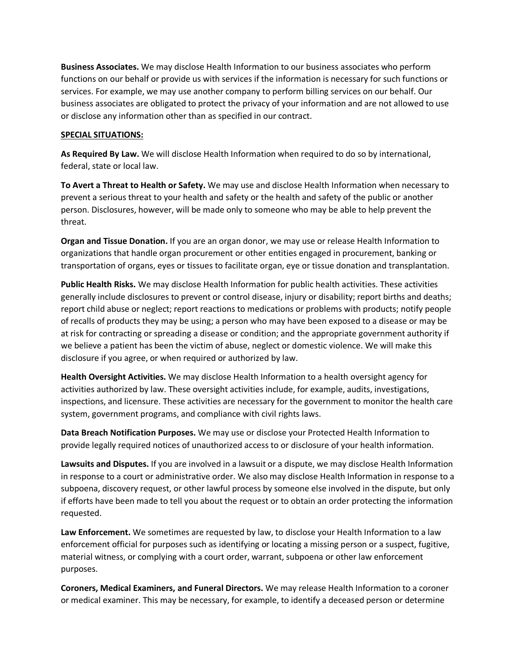**Business Associates.** We may disclose Health Information to our business associates who perform functions on our behalf or provide us with services if the information is necessary for such functions or services. For example, we may use another company to perform billing services on our behalf. Our business associates are obligated to protect the privacy of your information and are not allowed to use or disclose any information other than as specified in our contract.

## **SPECIAL SITUATIONS:**

**As Required By Law.** We will disclose Health Information when required to do so by international, federal, state or local law.

**To Avert a Threat to Health or Safety.** We may use and disclose Health Information when necessary to prevent a serious threat to your health and safety or the health and safety of the public or another person. Disclosures, however, will be made only to someone who may be able to help prevent the threat.

**Organ and Tissue Donation.** If you are an organ donor, we may use or release Health Information to organizations that handle organ procurement or other entities engaged in procurement, banking or transportation of organs, eyes or tissues to facilitate organ, eye or tissue donation and transplantation.

**Public Health Risks.** We may disclose Health Information for public health activities. These activities generally include disclosures to prevent or control disease, injury or disability; report births and deaths; report child abuse or neglect; report reactions to medications or problems with products; notify people of recalls of products they may be using; a person who may have been exposed to a disease or may be at risk for contracting or spreading a disease or condition; and the appropriate government authority if we believe a patient has been the victim of abuse, neglect or domestic violence. We will make this disclosure if you agree, or when required or authorized by law.

**Health Oversight Activities.** We may disclose Health Information to a health oversight agency for activities authorized by law. These oversight activities include, for example, audits, investigations, inspections, and licensure. These activities are necessary for the government to monitor the health care system, government programs, and compliance with civil rights laws.

**Data Breach Notification Purposes.** We may use or disclose your Protected Health Information to provide legally required notices of unauthorized access to or disclosure of your health information.

**Lawsuits and Disputes.** If you are involved in a lawsuit or a dispute, we may disclose Health Information in response to a court or administrative order. We also may disclose Health Information in response to a subpoena, discovery request, or other lawful process by someone else involved in the dispute, but only if efforts have been made to tell you about the request or to obtain an order protecting the information requested.

**Law Enforcement.** We sometimes are requested by law, to disclose your Health Information to a law enforcement official for purposes such as identifying or locating a missing person or a suspect, fugitive, material witness, or complying with a court order, warrant, subpoena or other law enforcement purposes.

**Coroners, Medical Examiners, and Funeral Directors.** We may release Health Information to a coroner or medical examiner. This may be necessary, for example, to identify a deceased person or determine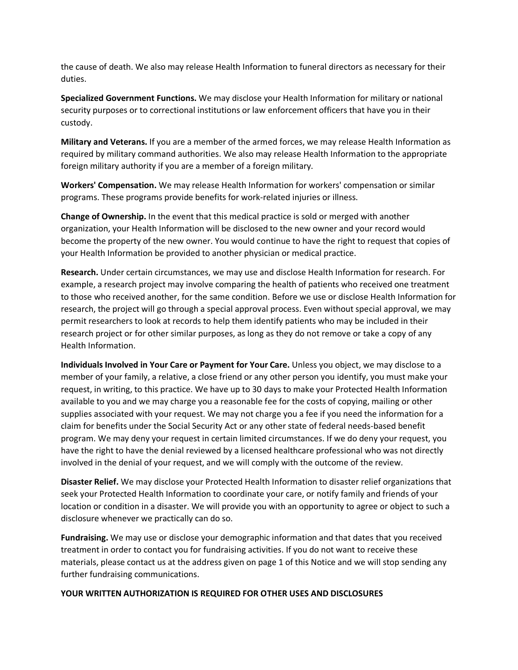the cause of death. We also may release Health Information to funeral directors as necessary for their duties.

**Specialized Government Functions.** We may disclose your Health Information for military or national security purposes or to correctional institutions or law enforcement officers that have you in their custody.

**Military and Veterans.** If you are a member of the armed forces, we may release Health Information as required by military command authorities. We also may release Health Information to the appropriate foreign military authority if you are a member of a foreign military.

**Workers' Compensation.** We may release Health Information for workers' compensation or similar programs. These programs provide benefits for work-related injuries or illness.

**Change of Ownership.** In the event that this medical practice is sold or merged with another organization, your Health Information will be disclosed to the new owner and your record would become the property of the new owner. You would continue to have the right to request that copies of your Health Information be provided to another physician or medical practice.

**Research.** Under certain circumstances, we may use and disclose Health Information for research. For example, a research project may involve comparing the health of patients who received one treatment to those who received another, for the same condition. Before we use or disclose Health Information for research, the project will go through a special approval process. Even without special approval, we may permit researchers to look at records to help them identify patients who may be included in their research project or for other similar purposes, as long as they do not remove or take a copy of any Health Information.

**Individuals Involved in Your Care or Payment for Your Care.** Unless you object, we may disclose to a member of your family, a relative, a close friend or any other person you identify, you must make your request, in writing, to this practice. We have up to 30 days to make your Protected Health Information available to you and we may charge you a reasonable fee for the costs of copying, mailing or other supplies associated with your request. We may not charge you a fee if you need the information for a claim for benefits under the Social Security Act or any other state of federal needs-based benefit program. We may deny your request in certain limited circumstances. If we do deny your request, you have the right to have the denial reviewed by a licensed healthcare professional who was not directly involved in the denial of your request, and we will comply with the outcome of the review.

**Disaster Relief.** We may disclose your Protected Health Information to disaster relief organizations that seek your Protected Health Information to coordinate your care, or notify family and friends of your location or condition in a disaster. We will provide you with an opportunity to agree or object to such a disclosure whenever we practically can do so.

**Fundraising.** We may use or disclose your demographic information and that dates that you received treatment in order to contact you for fundraising activities. If you do not want to receive these materials, please contact us at the address given on page 1 of this Notice and we will stop sending any further fundraising communications.

## **YOUR WRITTEN AUTHORIZATION IS REQUIRED FOR OTHER USES AND DISCLOSURES**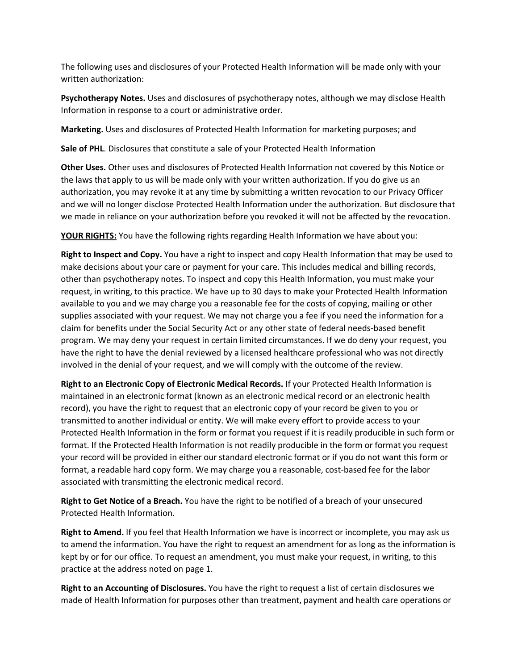The following uses and disclosures of your Protected Health Information will be made only with your written authorization:

**Psychotherapy Notes.** Uses and disclosures of psychotherapy notes, although we may disclose Health Information in response to a court or administrative order.

**Marketing.** Uses and disclosures of Protected Health Information for marketing purposes; and

**Sale of PHL**. Disclosures that constitute a sale of your Protected Health Information

**Other Uses.** Other uses and disclosures of Protected Health Information not covered by this Notice or the laws that apply to us will be made only with your written authorization. If you do give us an authorization, you may revoke it at any time by submitting a written revocation to our Privacy Officer and we will no longer disclose Protected Health Information under the authorization. But disclosure that we made in reliance on your authorization before you revoked it will not be affected by the revocation.

**YOUR RIGHTS:** You have the following rights regarding Health Information we have about you:

**Right to Inspect and Copy.** You have a right to inspect and copy Health Information that may be used to make decisions about your care or payment for your care. This includes medical and billing records, other than psychotherapy notes. To inspect and copy this Health Information, you must make your request, in writing, to this practice. We have up to 30 days to make your Protected Health Information available to you and we may charge you a reasonable fee for the costs of copying, mailing or other supplies associated with your request. We may not charge you a fee if you need the information for a claim for benefits under the Social Security Act or any other state of federal needs-based benefit program. We may deny your request in certain limited circumstances. If we do deny your request, you have the right to have the denial reviewed by a licensed healthcare professional who was not directly involved in the denial of your request, and we will comply with the outcome of the review.

**Right to an Electronic Copy of Electronic Medical Records.** If your Protected Health Information is maintained in an electronic format (known as an electronic medical record or an electronic health record), you have the right to request that an electronic copy of your record be given to you or transmitted to another individual or entity. We will make every effort to provide access to your Protected Health Information in the form or format you request if it is readily producible in such form or format. If the Protected Health Information is not readily producible in the form or format you request your record will be provided in either our standard electronic format or if you do not want this form or format, a readable hard copy form. We may charge you a reasonable, cost-based fee for the labor associated with transmitting the electronic medical record.

**Right to Get Notice of a Breach.** You have the right to be notified of a breach of your unsecured Protected Health Information.

**Right to Amend.** If you feel that Health Information we have is incorrect or incomplete, you may ask us to amend the information. You have the right to request an amendment for as long as the information is kept by or for our office. To request an amendment, you must make your request, in writing, to this practice at the address noted on page 1.

**Right to an Accounting of Disclosures.** You have the right to request a list of certain disclosures we made of Health Information for purposes other than treatment, payment and health care operations or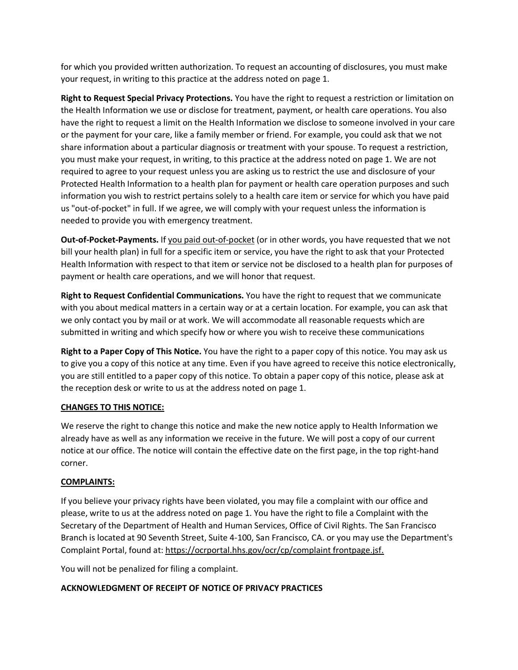for which you provided written authorization. To request an accounting of disclosures, you must make your request, in writing to this practice at the address noted on page 1.

**Right to Request Special Privacy Protections.** You have the right to request a restriction or limitation on the Health Information we use or disclose for treatment, payment, or health care operations. You also have the right to request a limit on the Health Information we disclose to someone involved in your care or the payment for your care, like a family member or friend. For example, you could ask that we not share information about a particular diagnosis or treatment with your spouse. To request a restriction, you must make your request, in writing, to this practice at the address noted on page 1. We are not required to agree to your request unless you are asking us to restrict the use and disclosure of your Protected Health Information to a health plan for payment or health care operation purposes and such information you wish to restrict pertains solely to a health care item or service for which you have paid us "out-of-pocket" in full. If we agree, we will comply with your request unless the information is needed to provide you with emergency treatment.

**Out-of-Pocket-Payments.** If you paid out-of-pocket (or in other words, you have requested that we not bill your health plan) in full for a specific item or service, you have the right to ask that your Protected Health Information with respect to that item or service not be disclosed to a health plan for purposes of payment or health care operations, and we will honor that request.

**Right to Request Confidential Communications.** You have the right to request that we communicate with you about medical matters in a certain way or at a certain location. For example, you can ask that we only contact you by mail or at work. We will accommodate all reasonable requests which are submitted in writing and which specify how or where you wish to receive these communications

**Right to a Paper Copy of This Notice.** You have the right to a paper copy of this notice. You may ask us to give you a copy of this notice at any time. Even if you have agreed to receive this notice electronically, you are still entitled to a paper copy of this notice. To obtain a paper copy of this notice, please ask at the reception desk or write to us at the address noted on page 1.

# **CHANGES TO THIS NOTICE:**

We reserve the right to change this notice and make the new notice apply to Health Information we already have as well as any information we receive in the future. We will post a copy of our current notice at our office. The notice will contain the effective date on the first page, in the top right-hand corner.

# **COMPLAINTS:**

If you believe your privacy rights have been violated, you may file a complaint with our office and please, write to us at the address noted on page 1. You have the right to file a Complaint with the Secretary of the Department of Health and Human Services, Office of Civil Rights. The San Francisco Branch is located at 90 Seventh Street, Suite 4-100, San Francisco, CA. or you may use the Department's Complaint Portal, found at: https://ocrportal.hhs.gov/ocr/cp/complaint frontpage.jsf.

You will not be penalized for filing a complaint.

## **ACKNOWLEDGMENT OF RECEIPT OF NOTICE OF PRIVACY PRACTICES**